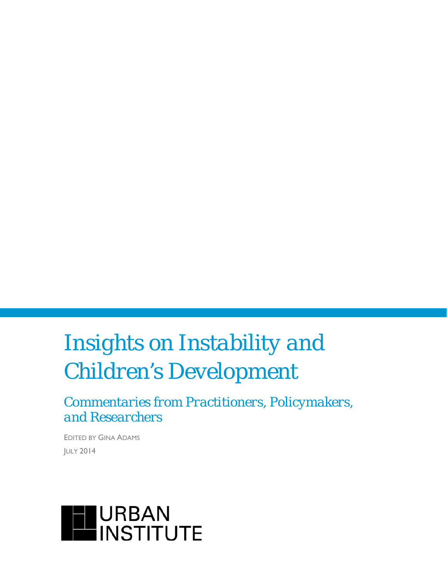# *Insights on Instability and Children's Development*

*Commentaries from Practitioners, Policymakers, and Researchers*

EDITED BY GINA ADAMS JULY 2014

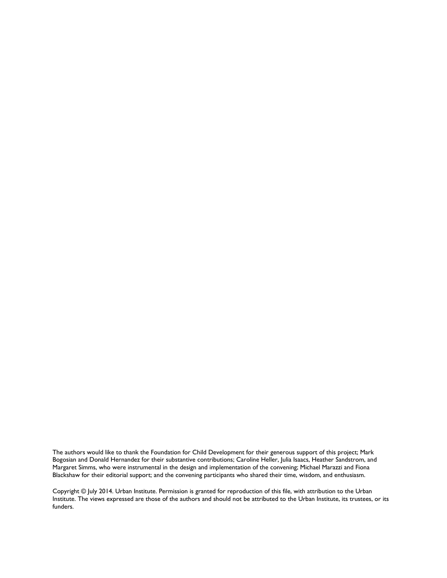The authors would like to thank the Foundation for Child Development for their generous support of this project; Mark Bogosian and Donald Hernandez for their substantive contributions; Caroline Heller, Julia Isaacs, Heather Sandstrom, and Margaret Simms, who were instrumental in the design and implementation of the convening; Michael Marazzi and Fiona Blackshaw for their editorial support; and the convening participants who shared their time, wisdom, and enthusiasm.

Copyright © July 2014. Urban Institute. Permission is granted for reproduction of this file, with attribution to the Urban Institute. The views expressed are those of the authors and should not be attributed to the Urban Institute, its trustees, or its funders.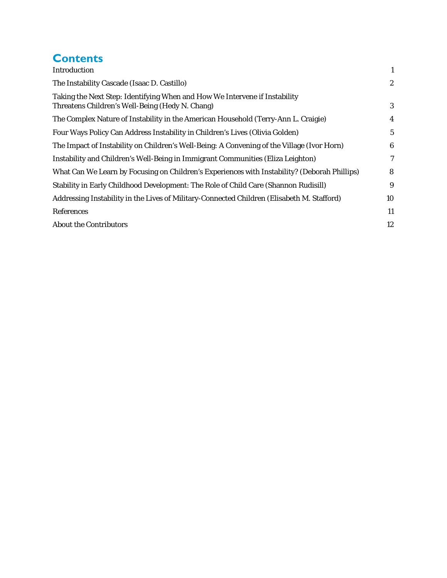# **Contents**

| Introduction                                                                                                                  | 1                |
|-------------------------------------------------------------------------------------------------------------------------------|------------------|
| The Instability Cascade (Isaac D. Castillo)                                                                                   | $\boldsymbol{2}$ |
| Taking the Next Step: Identifying When and How We Intervene if Instability<br>Threatens Children's Well-Being (Hedy N. Chang) | 3                |
| The Complex Nature of Instability in the American Household (Terry-Ann L. Craigie)                                            | 4                |
| Four Ways Policy Can Address Instability in Children's Lives (Olivia Golden)                                                  | $5\phantom{.0}$  |
| The Impact of Instability on Children's Well-Being: A Convening of the Village (Ivor Horn)                                    | 6                |
| Instability and Children's Well-Being in Immigrant Communities (Eliza Leighton)                                               | 7                |
| What Can We Learn by Focusing on Children's Experiences with Instability? (Deborah Phillips)                                  | 8                |
| Stability in Early Childhood Development: The Role of Child Care (Shannon Rudisill)                                           | 9                |
| Addressing Instability in the Lives of Military-Connected Children (Elisabeth M. Stafford)                                    | 10               |
| References                                                                                                                    | 11               |
| <b>About the Contributors</b>                                                                                                 | 12               |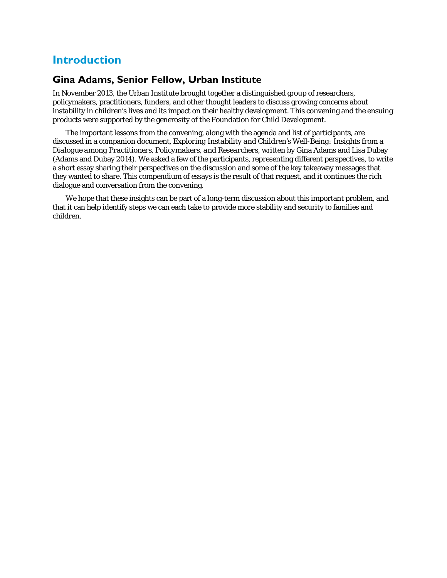### **Introduction**

### **Gina Adams, Senior Fellow, Urban Institute**

In November 2013, the Urban Institute brought together a distinguished group of researchers, policymakers, practitioners, funders, and other thought leaders to discuss growing concerns about instability in children's lives and its impact on their healthy development. This convening and the ensuing products were supported by the generosity of the Foundation for Child Development.

The important lessons from the convening, along with the agenda and list of participants, are discussed in a companion document, *Exploring Instability and Children's Well-Being: Insights from a Dialogue among Practitioners, Policymakers, and Researchers,* written by Gina Adams and Lisa Dubay (Adams and Dubay 2014). We asked a few of the participants, representing different perspectives, to write a short essay sharing their perspectives on the discussion and some of the key takeaway messages that they wanted to share. This compendium of essays is the result of that request, and it continues the rich dialogue and conversation from the convening.

We hope that these insights can be part of a long-term discussion about this important problem, and that it can help identify steps we can each take to provide more stability and security to families and children.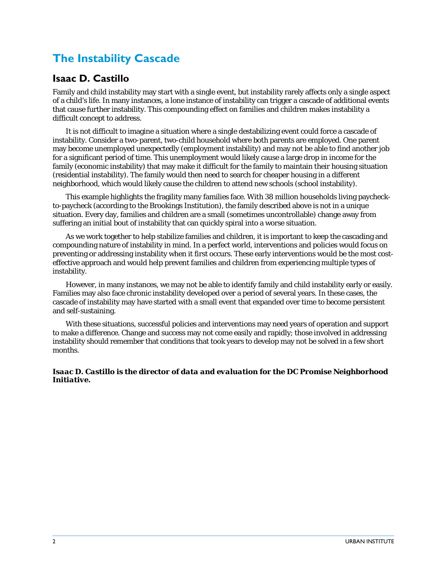# **The Instability Cascade**

#### **Isaac D. Castillo**

Family and child instability may start with a single event, but instability rarely affects only a single aspect of a child's life. In many instances, a lone instance of instability can trigger a cascade of additional events that cause further instability. This compounding effect on families and children makes instability a difficult concept to address.

It is not difficult to imagine a situation where a single destabilizing event could force a cascade of instability. Consider a two-parent, two-child household where both parents are employed. One parent may become unemployed unexpectedly (employment instability) and may not be able to find another job for a significant period of time. This unemployment would likely cause a large drop in income for the family (economic instability) that may make it difficult for the family to maintain their housing situation (residential instability). The family would then need to search for cheaper housing in a different neighborhood, which would likely cause the children to attend new schools (school instability).

This example highlights the fragility many families face. With 38 million households living paycheckto-paycheck (according to the Brookings Institution), the family described above is not in a unique situation. Every day, families and children are a small (sometimes uncontrollable) change away from suffering an initial bout of instability that can quickly spiral into a worse situation.

As we work together to help stabilize families and children, it is important to keep the cascading and compounding nature of instability in mind. In a perfect world, interventions and policies would focus on preventing or addressing instability when it first occurs. These early interventions would be the most costeffective approach and would help prevent families and children from experiencing multiple types of instability.

However, in many instances, we may not be able to identify family and child instability early or easily. Families may also face chronic instability developed over a period of several years. In these cases, the cascade of instability may have started with a small event that expanded over time to become persistent and self-sustaining.

With these situations, successful policies and interventions may need years of operation and support to make a difference. Change and success may not come easily and rapidly; those involved in addressing instability should remember that conditions that took years to develop may not be solved in a few short months.

#### *Isaac D. Castillo is the director of data and evaluation for the DC Promise Neighborhood Initiative.*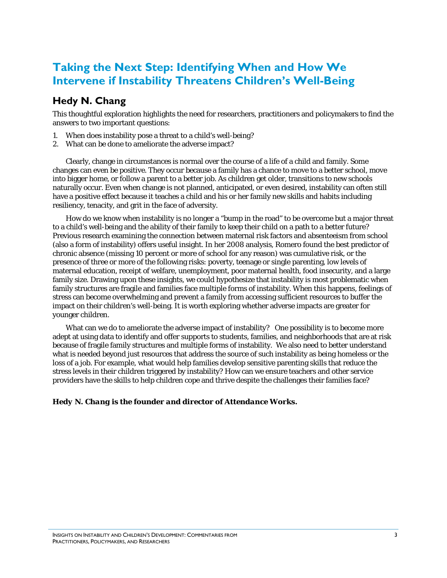### **Taking the Next Step: Identifying When and How We Intervene if Instability Threatens Children's Well-Being**

### **Hedy N. Chang**

This thoughtful exploration highlights the need for researchers, practitioners and policymakers to find the answers to two important questions:

- 1. When does instability pose a threat to a child's well-being?
- 2. What can be done to ameliorate the adverse impact?

Clearly, change in circumstances is normal over the course of a life of a child and family. Some changes can even be positive. They occur because a family has a chance to move to a better school, move into bigger home, or follow a parent to a better job. As children get older, transitions to new schools naturally occur. Even when change is not planned, anticipated, or even desired, instability can often still have a positive effect because it teaches a child and his or her family new skills and habits including resiliency, tenacity, and grit in the face of adversity.

How do we know when instability is no longer a "bump in the road" to be overcome but a major threat to a child's well-being and the ability of their family to keep their child on a path to a better future? Previous research examining the connection between maternal risk factors and absenteeism from school (also a form of instability) offers useful insight. In her 2008 analysis, Romero found the best predictor of chronic absence (missing 10 percent or more of school for any reason) was cumulative risk, or the presence of three or more of the following risks: poverty, teenage or single parenting, low levels of maternal education, receipt of welfare, unemployment, poor maternal health, food insecurity, and a large family size. Drawing upon these insights, we could hypothesize that instability is most problematic when family structures are fragile and families face multiple forms of instability. When this happens, feelings of stress can become overwhelming and prevent a family from accessing sufficient resources to buffer the impact on their children's well-being. It is worth exploring whether adverse impacts are greater for younger children.

What can we do to ameliorate the adverse impact of instability? One possibility is to become more adept at using data to identify and offer supports to students, families, and neighborhoods that are at risk because of fragile family structures and multiple forms of instability. We also need to better understand what is needed beyond just resources that address the source of such instability as being homeless or the loss of a job. For example, what would help families develop sensitive parenting skills that reduce the stress levels in their children triggered by instability? How can we ensure teachers and other service providers have the skills to help children cope and thrive despite the challenges their families face?

#### *Hedy N. Chang is the founder and director of Attendance Works.*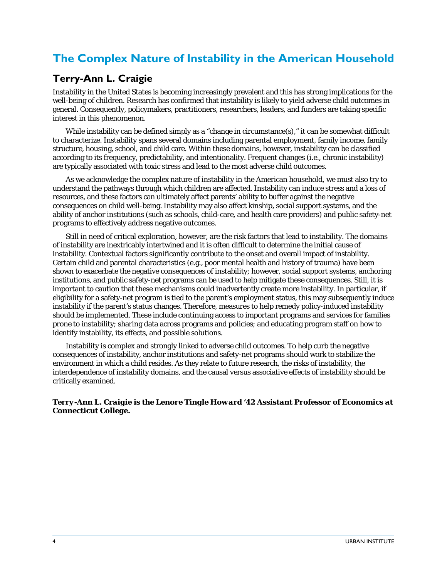# **The Complex Nature of Instability in the American Household**

### **Terry-Ann L. Craigie**

Instability in the United States is becoming increasingly prevalent and this has strong implications for the well-being of children. Research has confirmed that instability is likely to yield adverse child outcomes in general. Consequently, policymakers, practitioners, researchers, leaders, and funders are taking specific interest in this phenomenon.

While instability can be defined simply as a "change in circumstance(s)," it can be somewhat difficult to characterize. Instability spans several domains including parental employment, family income, family structure, housing, school, and child care. Within these domains, however, instability can be classified according to its frequency, predictability, and intentionality. Frequent changes (i.e., chronic instability) are typically associated with toxic stress and lead to the most adverse child outcomes.

As we acknowledge the complex nature of instability in the American household, we must also try to understand the pathways through which children are affected. Instability can induce stress and a loss of resources, and these factors can ultimately affect parents' ability to buffer against the negative consequences on child well-being. Instability may also affect kinship, social support systems, and the ability of anchor institutions (such as schools, child-care, and health care providers) and public safety-net programs to effectively address negative outcomes.

Still in need of critical exploration, however, are the risk factors that lead to instability. The domains of instability are inextricably intertwined and it is often difficult to determine the initial cause of instability. Contextual factors significantly contribute to the onset and overall impact of instability. Certain child and parental characteristics (e.g., poor mental health and history of trauma) have been shown to exacerbate the negative consequences of instability; however, social support systems, anchoring institutions, and public safety-net programs can be used to help mitigate these consequences. Still, it is important to caution that these mechanisms could inadvertently create more instability. In particular, if eligibility for a safety-net program is tied to the parent's employment status, this may subsequently induce instability if the parent's status changes. Therefore, measures to help remedy policy-induced instability should be implemented. These include continuing access to important programs and services for families prone to instability; sharing data across programs and policies; and educating program staff on how to identify instability, its effects, and possible solutions.

Instability is complex and strongly linked to adverse child outcomes. To help curb the negative consequences of instability, anchor institutions and safety-net programs should work to stabilize the environment in which a child resides. As they relate to future research, the risks of instability, the interdependence of instability domains, and the causal versus associative effects of instability should be critically examined.

*Terry-Ann L. Craigie is the Lenore Tingle Howard '42 Assistant Professor of Economics at Connecticut College.*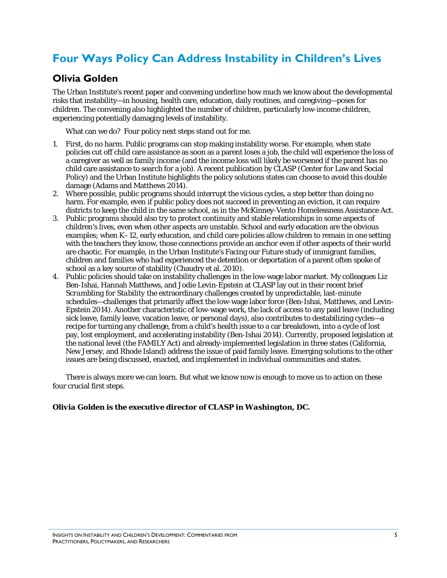# **Four Ways Policy Can Address Instability in Children's Lives**

### **Olivia Golden**

The Urban Institute's recent paper and convening underline how much we know about the developmental risks that instability—in housing, health care, education, daily routines, and caregiving—poses for children. The convening also highlighted the number of children, particularly low-income children, experiencing potentially damaging levels of instability.

What can we do? Four policy next steps stand out for me.

- 1. First, do no harm. Public programs can stop making instability worse. For example, when state policies cut off child care assistance as soon as a parent loses a job, the child will experience the loss of a caregiver as well as family income (and the income loss will likely be worsened if the parent has no child care assistance to search for a job). A recent publication by CLASP (Center for Law and Social Policy) and the Urban Institute highlights the policy solutions states can choose to avoid this double damage (Adams and Matthews 2014).
- 2. Where possible, public programs should interrupt the vicious cycles, a step better than doing no harm. For example, even if public policy does not succeed in preventing an eviction, it can require districts to keep the child in the same school, as in the McKinney-Vento Homelessness Assistance Act.
- 3. Public programs should also try to protect continuity and stable relationships in some aspects of children's lives, even when other aspects are unstable. School and early education are the obvious examples; when K–12, early education, and child care policies allow children to remain in one setting with the teachers they know, those connections provide an anchor even if other aspects of their world are chaotic. For example, in the Urban Institute's Facing our Future study of immigrant families, children and families who had experienced the detention or deportation of a parent often spoke of school as a key source of stability (Chaudry et al. 2010).
- 4. Public policies should take on instability challenges in the low-wage labor market. My colleagues Liz Ben-Ishai, Hannah Matthews, and Jodie Levin-Epstein at CLASP lay out in their recent brief *Scrambling for Stability* the extraordinary challenges created by unpredictable, last-minute schedules—challenges that primarily affect the low-wage labor force (Ben-Ishai, Matthews, and Levin-Epstein 2014). Another characteristic of low-wage work, the lack of access to any paid leave (including sick leave, family leave, vacation leave, or personal days), also contributes to destabilizing cycles—a recipe for turning any challenge, from a child's health issue to a car breakdown, into a cycle of lost pay, lost employment, and accelerating instability (Ben-Ishai 2014). Currently, proposed legislation at the national level (the FAMILY Act) and already-implemented legislation in three states (California, New Jersey, and Rhode Island) address the issue of paid family leave. Emerging solutions to the other issues are being discussed, enacted, and implemented in individual communities and states.

There is always more we can learn. But what we know now is enough to move us to action on these four crucial first steps.

#### *Olivia Golden is the executive director of CLASP in Washington, DC.*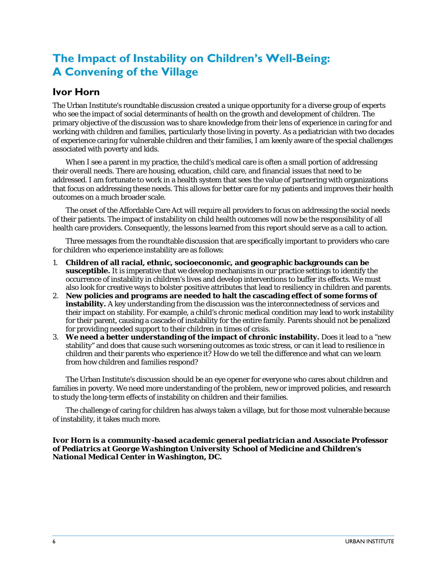# **The Impact of Instability on Children's Well-Being: A Convening of the Village**

#### **Ivor Horn**

The Urban Institute's roundtable discussion created a unique opportunity for a diverse group of experts who see the impact of social determinants of health on the growth and development of children. The primary objective of the discussion was to share knowledge from their lens of experience in caring for and working with children and families, particularly those living in poverty. As a pediatrician with two decades of experience caring for vulnerable children and their families, I am keenly aware of the special challenges associated with poverty and kids.

When I see a parent in my practice, the child's medical care is often a small portion of addressing their overall needs. There are housing, education, child care, and financial issues that need to be addressed. I am fortunate to work in a health system that sees the value of partnering with organizations that focus on addressing these needs. This allows for better care for my patients and improves their health outcomes on a much broader scale.

The onset of the Affordable Care Act will require all providers to focus on addressing the social needs of their patients. The impact of instability on child health outcomes will now be the responsibility of all health care providers. Consequently, the lessons learned from this report should serve as a call to action.

Three messages from the roundtable discussion that are specifically important to providers who care for children who experience instability are as follows:

- 1. **Children of all racial, ethnic, socioeconomic, and geographic backgrounds can be susceptible.** It is imperative that we develop mechanisms in our practice settings to identify the occurrence of instability in children's lives and develop interventions to buffer its effects. We must also look for creative ways to bolster positive attributes that lead to resiliency in children and parents.
- 2. **New policies and programs are needed to halt the cascading effect of some forms of instability.** A key understanding from the discussion was the interconnectedness of services and their impact on stability. For example, a child's chronic medical condition may lead to work instability for their parent, causing a cascade of instability for the entire family. Parents should not be penalized for providing needed support to their children in times of crisis.
- 3. **We need a better understanding of the impact of chronic instability.** Does it lead to a "new stability" and does that cause such worsening outcomes as toxic stress, or can it lead to resilience in children and their parents who experience it? How do we tell the difference and what can we learn from how children and families respond?

The Urban Institute's discussion should be an eye opener for everyone who cares about children and families in poverty. We need more understanding of the problem, new or improved policies, and research to study the long-term effects of instability on children and their families.

The challenge of caring for children has always taken a village, but for those most vulnerable because of instability, it takes much more.

*Ivor Horn is a community-based academic general pediatrician and Associate Professor of Pediatrics at George Washington University School of Medicine and Children's National Medical Center in Washington, DC.*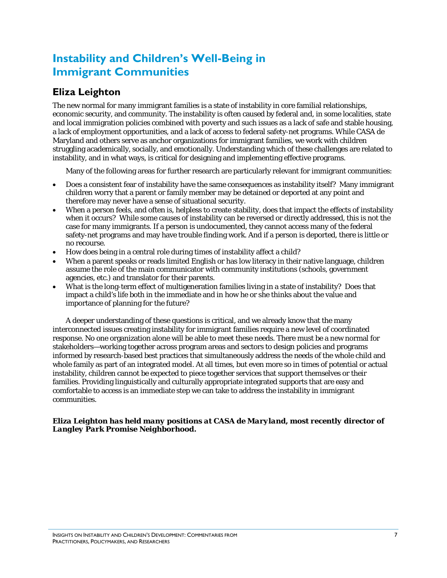# **Instability and Children's Well-Being in Immigrant Communities**

### **Eliza Leighton**

The new normal for many immigrant families is a state of instability in core familial relationships, economic security, and community. The instability is often caused by federal and, in some localities, state and local immigration policies combined with poverty and such issues as a lack of safe and stable housing, a lack of employment opportunities, and a lack of access to federal safety-net programs. While CASA de Maryland and others serve as anchor organizations for immigrant families, we work with children struggling academically, socially, and emotionally. Understanding which of these challenges are related to instability, and in what ways, is critical for designing and implementing effective programs.

Many of the following areas for further research are particularly relevant for immigrant communities:

- Does a consistent fear of instability have the same consequences as instability itself? Many immigrant children worry that a parent or family member may be detained or deported at any point and therefore may never have a sense of situational security.
- When a person feels, and often is, helpless to create stability, does that impact the effects of instability when it occurs? While some causes of instability can be reversed or directly addressed, this is not the case for many immigrants. If a person is undocumented, they cannot access many of the federal safety-net programs and may have trouble finding work. And if a person is deported, there is little or no recourse.
- How does being in a central role during times of instability affect a child?
- When a parent speaks or reads limited English or has low literacy in their native language, children assume the role of the main communicator with community institutions (schools, government agencies, etc.) and translator for their parents.
- What is the long-term effect of multigeneration families living in a state of instability? Does that impact a child's life both in the immediate and in how he or she thinks about the value and importance of planning for the future?

A deeper understanding of these questions is critical, and we already know that the many interconnected issues creating instability for immigrant families require a new level of coordinated response. No one organization alone will be able to meet these needs. There must be a new normal for stakeholders—working together across program areas and sectors to design policies and programs informed by research-based best practices that simultaneously address the needs of the whole child and whole family as part of an integrated model. At all times, but even more so in times of potential or actual instability, children cannot be expected to piece together services that support themselves or their families. Providing linguistically and culturally appropriate integrated supports that are easy and comfortable to access is an immediate step we can take to address the instability in immigrant communities.

#### *Eliza Leighton has held many positions at CASA de Maryland, most recently director of Langley Park Promise Neighborhood.*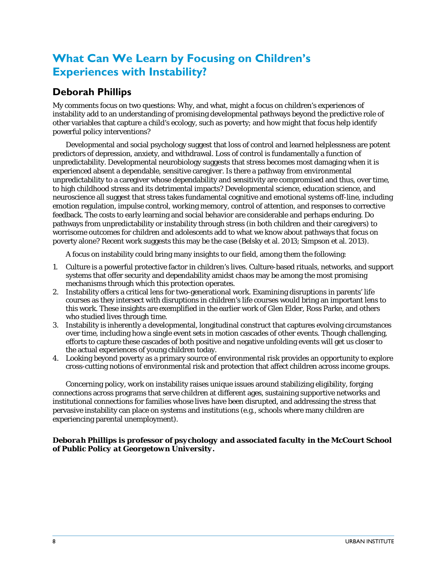# **What Can We Learn by Focusing on Children's Experiences with Instability?**

### **Deborah Phillips**

My comments focus on two questions: Why, and what, might a focus on children's experiences of instability add to an understanding of promising developmental pathways beyond the predictive role of other variables that capture a child's ecology, such as poverty; and how might that focus help identify powerful policy interventions?

Developmental and social psychology suggest that loss of control and learned helplessness are potent predictors of depression, anxiety, and withdrawal. Loss of control is fundamentally a function of unpredictability. Developmental neurobiology suggests that stress becomes most damaging when it is experienced absent a dependable, sensitive caregiver. Is there a pathway from environmental unpredictability to a caregiver whose dependability and sensitivity are compromised and thus, over time, to high childhood stress and its detrimental impacts? Developmental science, education science, and neuroscience all suggest that stress takes fundamental cognitive and emotional systems off-line, including emotion regulation, impulse control, working memory, control of attention, and responses to corrective feedback. The costs to early learning and social behavior are considerable and perhaps enduring. Do pathways from unpredictability or instability through stress (in both children and their caregivers) to worrisome outcomes for children and adolescents add to what we know about pathways that focus on poverty alone? Recent work suggests this may be the case (Belsky et al. 2013; Simpson et al. 2013).

A focus on instability could bring many insights to our field, among them the following:

- 1. Culture is a powerful protective factor in children's lives. Culture-based rituals, networks, and support systems that offer security and dependability amidst chaos may be among the most promising mechanisms through which this protection operates.
- 2. Instability offers a critical lens for two-generational work. Examining disruptions in parents' life courses as they intersect with disruptions in children's life courses would bring an important lens to this work. These insights are exemplified in the earlier work of Glen Elder, Ross Parke, and others who studied lives through time.
- 3. Instability is inherently a developmental, longitudinal construct that captures evolving circumstances over time, including how a single event sets in motion cascades of other events. Though challenging, efforts to capture these cascades of both positive and negative unfolding events will get us closer to the actual experiences of young children today.
- 4. Looking beyond poverty as a primary source of environmental risk provides an opportunity to explore cross-cutting notions of environmental risk and protection that affect children across income groups.

Concerning policy, work on instability raises unique issues around stabilizing eligibility, forging connections across programs that serve children at different ages, sustaining supportive networks and institutional connections for families whose lives have been disrupted, and addressing the stress that pervasive instability can place on systems and institutions (e.g., schools where many children are experiencing parental unemployment).

#### *Deborah Phillips is professor of psychology and associated faculty in the McCourt School of Public Policy at Georgetown University.*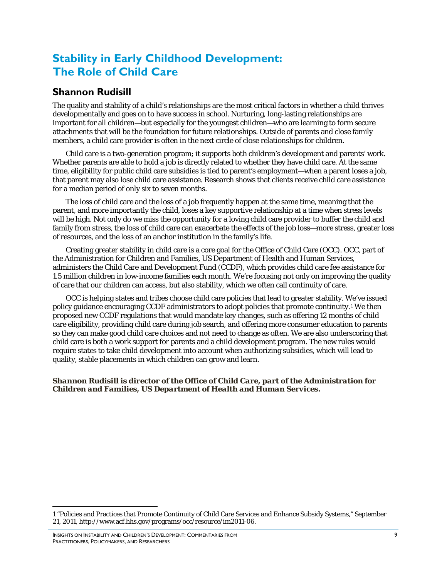### **Stability in Early Childhood Development: The Role of Child Care**

### **Shannon Rudisill**

The quality and stability of a child's relationships are the most critical factors in whether a child thrives developmentally and goes on to have success in school. Nurturing, long-lasting relationships are important for all children—but especially for the youngest children—who are learning to form secure attachments that will be the foundation for future relationships. Outside of parents and close family members, a child care provider is often in the next circle of close relationships for children.

Child care is a two-generation program; it supports both children's development and parents' work. Whether parents are able to hold a job is directly related to whether they have child care. At the same time, eligibility for public child care subsidies is tied to parent's employment—when a parent loses a job, that parent may also lose child care assistance. Research shows that clients receive child care assistance for a median period of only six to seven months.

The loss of child care and the loss of a job frequently happen at the same time, meaning that the parent, and more importantly the child, loses a key supportive relationship at a time when stress levels will be high. Not only do we miss the opportunity for a loving child care provider to buffer the child and family from stress, the loss of child care can exacerbate the effects of the job loss—more stress, greater loss of resources, and the loss of an anchor institution in the family's life.

Creating greater stability in child care is a core goal for the Office of Child Care (OCC). OCC, part of the Administration for Children and Families, US Department of Health and Human Services, administers the Child Care and Development Fund (CCDF), which provides child care fee assistance for 1.5 million children in low-income families each month. We're focusing not only on improving the quality of care that our children can access, but also stability, which we often call continuity of care.

OCC is helping states and tribes choose child care policies that lead to greater stability. We've issued policy guidance encouraging CCDF administrators to adopt policies that promote continuity.[1](#page-11-0) We then proposed new CCDF regulations that would mandate key changes, such as offering 12 months of child care eligibility, providing child care during job search, and offering more consumer education to parents so they can make good child care choices and not need to change as often. We are also underscoring that child care is both a work support for parents and a child development program. The new rules would require states to take child development into account when authorizing subsidies, which will lead to quality, stable placements in which children can grow and learn.

#### *Shannon Rudisill is director of the Office of Child Care, part of the Administration for Children and Families, US Department of Health and Human Services.*

l

<span id="page-11-0"></span><sup>1</sup> "Policies and Practices that Promote Continuity of Child Care Services and Enhance Subsidy Systems," September 21, 2011[, http://www.acf.hhs.gov/programs/occ/resource/im2011-06.](http://www.acf.hhs.gov/programs/occ/resource/im2011-06)

INSIGHTS ON INSTABILITY AND CHILDREN'S DEVELOPMENT: COMMENTARIES FROM PRACTITIONERS, POLICYMAKERS, AND RESEARCHERS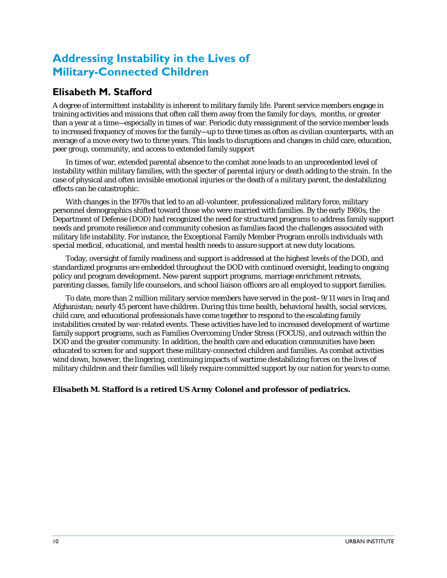# **Addressing Instability in the Lives of Military-Connected Children**

### **Elisabeth M. Stafford**

A degree of intermittent instability is inherent to military family life. Parent service members engage in training activities and missions that often call them away from the family for days, months, or greater than a year at a time—especially in times of war. Periodic duty reassignment of the service member leads to increased frequency of moves for the family—up to three times as often as civilian counterparts, with an average of a move every two to three years. This leads to disruptions and changes in child care, education, peer group, community, and access to extended family support

In times of war, extended parental absence to the combat zone leads to an unprecedented level of instability within military families, with the specter of parental injury or death adding to the strain. In the case of physical and often invisible emotional injuries or the death of a military parent, the destabilizing effects can be catastrophic.

With changes in the 1970s that led to an all-volunteer, professionalized military force, military personnel demographics shifted toward those who were married with families. By the early 1980s, the Department of Defense (DOD) had recognized the need for structured programs to address family support needs and promote resilience and community cohesion as families faced the challenges associated with military life instability. For instance, the Exceptional Family Member Program enrolls individuals with special medical, educational, and mental health needs to assure support at new duty locations.

Today, oversight of family readiness and support is addressed at the highest levels of the DOD, and standardized programs are embedded throughout the DOD with continued oversight, leading to ongoing policy and program development. New-parent support programs, marriage enrichment retreats, parenting classes, family life counselors, and school liaison officers are all employed to support families.

To date, more than 2 million military service members have served in the post–9/11 wars in Iraq and Afghanistan; nearly 45 percent have children. During this time health, behavioral health, social services, child care, and educational professionals have come together to respond to the escalating family instabilities created by war-related events. These activities have led to increased development of wartime family support programs, such as Families Overcoming Under Stress (FOCUS), and outreach within the DOD and the greater community. In addition, the health care and education communities have been educated to screen for and support these military-connected children and families. As combat activities wind down, however, the lingering, continuing impacts of wartime destabilizing forces on the lives of military children and their families will likely require committed support by our nation for years to come.

#### *Elisabeth M. Stafford is a retired US Army Colonel and professor of pediatrics.*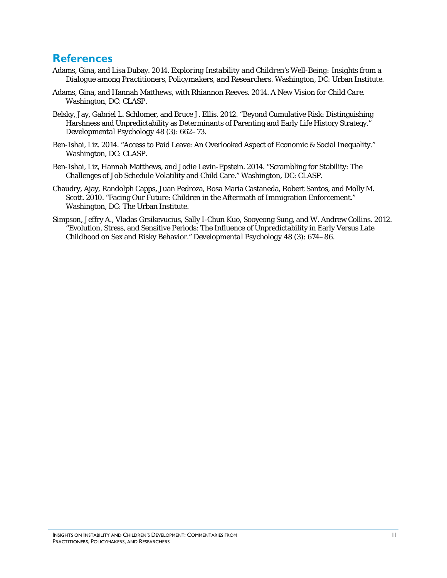#### **References**

- Adams, Gina, and Lisa Dubay. 2014. *Exploring Instability and Children's Well-Being: Insights from a Dialogue among Practitioners, Policymakers, and Researchers.* Washington, DC: Urban Institute.
- Adams, Gina, and Hannah Matthews, with Rhiannon Reeves. 2014. *A New Vision for Child Care*. Washington, DC: CLASP.
- Belsky, Jay, Gabriel L. Schlomer, and Bruce J. Ellis. 2012. "Beyond Cumulative Risk: Distinguishing Harshness and Unpredictability as Determinants of Parenting and Early Life History Strategy." *Developmental Psychology* 48 (3): 662–73.
- Ben-Ishai, Liz. 2014. "Access to Paid Leave: An Overlooked Aspect of Economic & Social Inequality." Washington, DC: CLASP.
- Ben-Ishai, Liz, Hannah Matthews, and Jodie Levin-Epstein. 2014. "Scrambling for Stability: The Challenges of Job Schedule Volatility and Child Care." Washington, DC: CLASP.
- Chaudry, Ajay, Randolph Capps, Juan Pedroza, Rosa Maria Castaneda, Robert Santos, and Molly M. Scott. 2010. "Facing Our Future: Children in the Aftermath of Immigration Enforcement." Washington, DC: The Urban Institute.
- Simpson, Jeffry A., Vladas Grsikevucius, Sally I-Chun Kuo, Sooyeong Sung, and W. Andrew Collins. 2012. "Evolution, Stress, and Sensitive Periods: The Influence of Unpredictability in Early Versus Late Childhood on Sex and Risky Behavior." *Developmental Psychology* 48 (3): 674–86.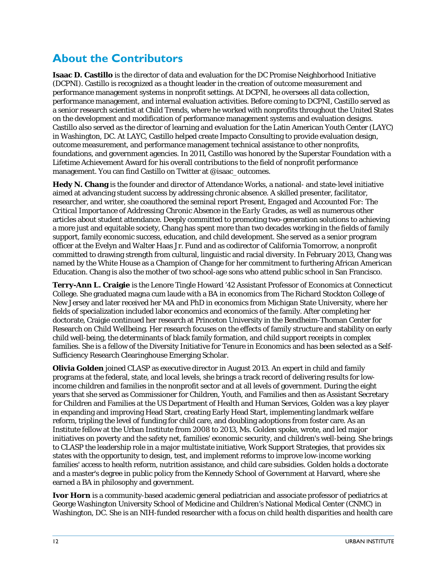## **About the Contributors**

**Isaac D. Castillo** is the director of data and evaluation for the DC Promise Neighborhood Initiative (DCPNI). Castillo is recognized as a thought leader in the creation of outcome measurement and performance management systems in nonprofit settings. At DCPNI, he oversees all data collection, performance management, and internal evaluation activities. Before coming to DCPNI, Castillo served as a senior research scientist at Child Trends, where he worked with nonprofits throughout the United States on the development and modification of performance management systems and evaluation designs. Castillo also served as the director of learning and evaluation for the Latin American Youth Center (LAYC) in Washington, DC. At LAYC, Castillo helped create Impacto Consulting to provide evaluation design, outcome measurement, and performance management technical assistance to other nonprofits, foundations, and government agencies. In 2011, Castillo was honored by the Superstar Foundation with a Lifetime Achievement Award for his overall contributions to the field of nonprofit performance management. You can find Castillo on Twitter at @isaac\_outcomes.

**Hedy N. Chang** is the founder and director of Attendance Works, a national- and state-level initiative aimed at advancing student success by addressing chronic absence. A skilled presenter, facilitator, researcher, and writer, she coauthored the seminal report *Present, Engaged and Accounted For: The Critical Importance of Addressing Chronic Absence in the Early Grades,* as well as numerous other articles about student attendance. Deeply committed to promoting two-generation solutions to achieving a more just and equitable society, Chang has spent more than two decades working in the fields of family support, family economic success, education, and child development. She served as a senior program officer at the Evelyn and Walter Haas Jr. Fund and as codirector of California Tomorrow, a nonprofit committed to drawing strength from cultural, linguistic and racial diversity. In February 2013, Chang was named by the White House as a Champion of Change for her commitment to furthering African American Education. Chang is also the mother of two school-age sons who attend public school in San Francisco.

**Terry-Ann L. Craigie** is the Lenore Tingle Howard '42 Assistant Professor of Economics at Connecticut College. She graduated magna cum laude with a BA in economics from The Richard Stockton College of New Jersey and later received her MA and PhD in economics from Michigan State University, where her fields of specialization included labor economics and economics of the family. After completing her doctorate, Craigie continued her research at Princeton University in the Bendheim-Thoman Center for Research on Child Wellbeing. Her research focuses on the effects of family structure and stability on early child well-being, the determinants of black family formation, and child support receipts in complex families. She is a fellow of the Diversity Initiative for Tenure in Economics and has been selected as a Self-Sufficiency Research Clearinghouse Emerging Scholar.

**Olivia Golden** joined CLASP as executive director in August 2013. An expert in child and family programs at the federal, state, and local levels, she brings a track record of delivering results for lowincome children and families in the nonprofit sector and at all levels of government. During the eight years that she served as Commissioner for Children, Youth, and Families and then as Assistant Secretary for Children and Families at the US Department of Health and Human Services, Golden was a key player in expanding and improving Head Start, creating Early Head Start, implementing landmark welfare reform, tripling the level of funding for child care, and doubling adoptions from foster care. As an Institute fellow at the Urban Institute from 2008 to 2013, Ms. Golden spoke, wrote, and led major initiatives on poverty and the safety net, families' economic security, and children's well-being. She brings to CLASP the leadership role in a major multistate initiative, Work Support Strategies, that provides six states with the opportunity to design, test, and implement reforms to improve low-income working families' access to health reform, nutrition assistance, and child care subsidies. Golden holds a doctorate and a master's degree in public policy from the Kennedy School of Government at Harvard, where she earned a BA in philosophy and government.

**Ivor Horn** is a community-based academic general pediatrician and associate professor of pediatrics at George Washington University School of Medicine and Children's National Medical Center (CNMC) in Washington, DC. She is an NIH-funded researcher with a focus on child health disparities and health care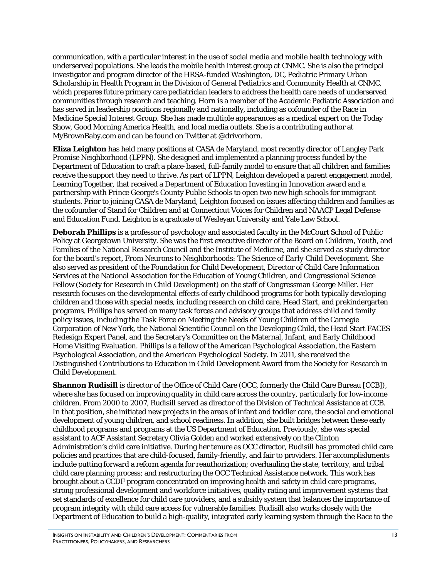communication, with a particular interest in the use of social media and mobile health technology with underserved populations. She leads the mobile health interest group at CNMC. She is also the principal investigator and program director of the HRSA-funded Washington, DC, Pediatric Primary Urban Scholarship in Health Program in the Division of General Pediatrics and Community Health at CNMC, which prepares future primary care pediatrician leaders to address the health care needs of underserved communities through research and teaching. Horn is a member of the Academic Pediatric Association and has served in leadership positions regionally and nationally, including as cofounder of the Race in Medicine Special Interest Group. She has made multiple appearances as a medical expert on the Today Show, Good Morning America Health, and local media outlets. She is a contributing author at MyBrownBaby.com and can be found on Twitter at @drivorhorn.

**Eliza Leighton** has held many positions at CASA de Maryland, most recently director of Langley Park Promise Neighborhood (LPPN). She designed and implemented a planning process funded by the Department of Education to craft a place-based, full-family model to ensure that all children and families receive the support they need to thrive. As part of LPPN, Leighton developed a parent engagement model, Learning Together, that received a Department of Education Investing in Innovation award and a partnership with Prince George's County Public Schools to open two new high schools for immigrant students. Prior to joining CASA de Maryland, Leighton focused on issues affecting children and families as the cofounder of Stand for Children and at Connecticut Voices for Children and NAACP Legal Defense and Education Fund. Leighton is a graduate of Wesleyan University and Yale Law School.

**Deborah Phillips** is a professor of psychology and associated faculty in the McCourt School of Public Policy at Georgetown University. She was the first executive director of the Board on Children, Youth, and Families of the National Research Council and the Institute of Medicine, and she served as study director for the board's report, *From Neurons to Neighborhoods: The Science of Early Child Development*. She also served as president of the Foundation for Child Development, Director of Child Care Information Services at the National Association for the Education of Young Children, and Congressional Science Fellow (Society for Research in Child Development) on the staff of Congressman George Miller. Her research focuses on the developmental effects of early childhood programs for both typically developing children and those with special needs, including research on child care, Head Start, and prekindergarten programs. Phillips has served on many task forces and advisory groups that address child and family policy issues, including the Task Force on Meeting the Needs of Young Children of the Carnegie Corporation of New York, the National Scientific Council on the Developing Child, the Head Start FACES Redesign Expert Panel, and the Secretary's Committee on the Maternal, Infant, and Early Childhood Home Visiting Evaluation. Phillips is a fellow of the American Psychological Association, the Eastern Psychological Association, and the American Psychological Society. In 2011, she received the Distinguished Contributions to Education in Child Development Award from the Society for Research in Child Development.

**Shannon Rudisill** is director of the Office of Child Care (OCC, formerly the Child Care Bureau [CCB]), where she has focused on improving quality in child care across the country, particularly for low-income children. From 2000 to 2007, Rudisill served as director of the Division of Technical Assistance at CCB. In that position, she initiated new projects in the areas of infant and toddler care, the social and emotional development of young children, and school readiness. In addition, she built bridges between these early childhood programs and programs at the US Department of Education. Previously, she was special assistant to ACF Assistant Secretary Olivia Golden and worked extensively on the Clinton Administration's child care initiative. During her tenure as OCC director, Rudisill has promoted child care policies and practices that are child-focused, family-friendly, and fair to providers. Her accomplishments include putting forward a reform agenda for reauthorization; overhauling the state, territory, and tribal child care planning process; and restructuring the OCC Technical Assistance network. This work has brought about a CCDF program concentrated on improving health and safety in child care programs, strong professional development and workforce initiatives, quality rating and improvement systems that set standards of excellence for child care providers, and a subsidy system that balances the importance of program integrity with child care access for vulnerable families. Rudisill also works closely with the Department of Education to build a high-quality, integrated early learning system through the Race to the